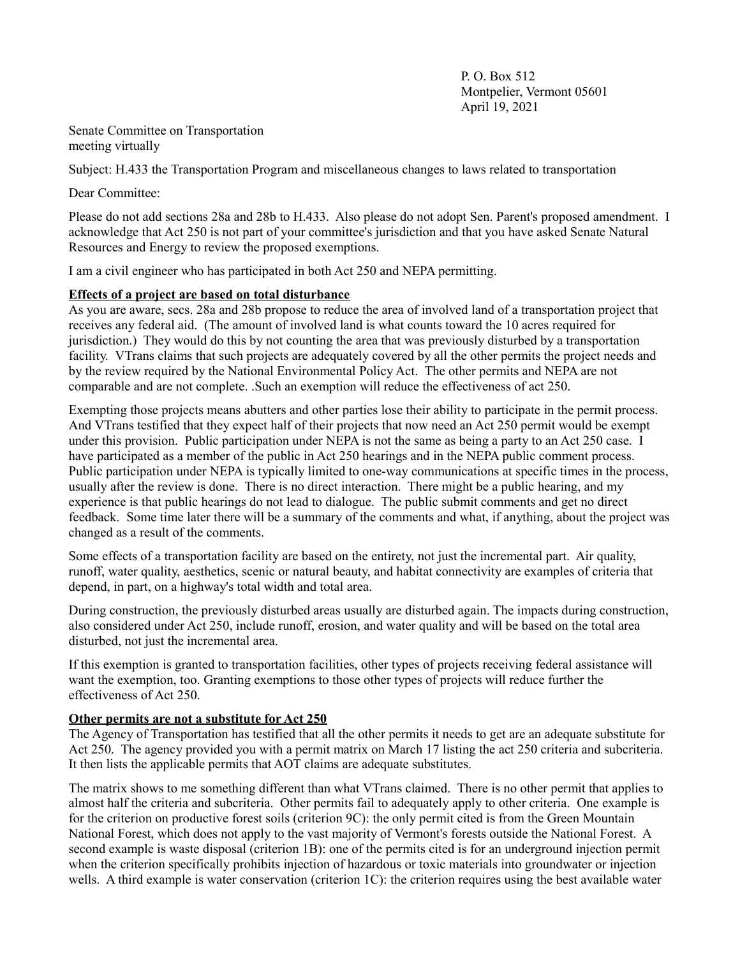$P$  O. Box 512 Montpelier, Vermont 05601 April 19, 2021

Senate Committee on Transportation meeting virtually

Subject: H.433 the Transportation Program and miscellaneous changes to laws related to transportation

Dear Committee:

Please do not add sections 28a and 28b to H.433. Also please do not adopt Sen. Parent's proposed amendment. I acknowledge that Act 250 is not part of your committee's jurisdiction and that you have asked Senate Natural Resources and Energy to review the proposed exemptions.

I am a civil engineer who has participated in both Act 250 and NEPA permitting.

## **Effects of a project are based on total disturbance**

As you are aware, secs. 28a and 28b propose to reduce the area of involved land of a transportation project that receives any federal aid. (The amount of involved land is what counts toward the 10 acres required for jurisdiction.) They would do this by not counting the area that was previously disturbed by a transportation facility. VTrans claims that such projects are adequately covered by all the other permits the project needs and by the review required by the National Environmental Policy Act. The other permits and NEPA are not comparable and are not complete. .Such an exemption will reduce the effectiveness of act 250.

Exempting those projects means abutters and other parties lose their ability to participate in the permit process. And VTrans testified that they expect half of their projects that now need an Act 250 permit would be exempt under this provision. Public participation under NEPA is not the same as being a party to an Act 250 case. I have participated as a member of the public in Act 250 hearings and in the NEPA public comment process. Public participation under NEPA is typically limited to one-way communications at specific times in the process, usually after the review is done. There is no direct interaction. There might be a public hearing, and my experience is that public hearings do not lead to dialogue. The public submit comments and get no direct feedback. Some time later there will be a summary of the comments and what, if anything, about the project was changed as a result of the comments.

Some effects of a transportation facility are based on the entirety, not just the incremental part. Air quality, runoff, water quality, aesthetics, scenic or natural beauty, and habitat connectivity are examples of criteria that depend, in part, on a highway's total width and total area.

During construction, the previously disturbed areas usually are disturbed again. The impacts during construction, also considered under Act 250, include runoff, erosion, and water quality and will be based on the total area disturbed, not just the incremental area.

If this exemption is granted to transportation facilities, other types of projects receiving federal assistance will want the exemption, too. Granting exemptions to those other types of projects will reduce further the effectiveness of Act 250.

# **Other permits are not a substitute for Act 250**

The Agency of Transportation has testified that all the other permits it needs to get are an adequate substitute for Act 250. The agency provided you with a permit matrix on March 17 listing the act 250 criteria and subcriteria. It then lists the applicable permits that AOT claims are adequate substitutes.

The matrix shows to me something different than what VTrans claimed. There is no other permit that applies to almost half the criteria and subcriteria. Other permits fail to adequately apply to other criteria. One example is for the criterion on productive forest soils (criterion 9C): the only permit cited is from the Green Mountain National Forest, which does not apply to the vast majority of Vermont's forests outside the National Forest. A second example is waste disposal (criterion 1B): one of the permits cited is for an underground injection permit when the criterion specifically prohibits injection of hazardous or toxic materials into groundwater or injection wells. A third example is water conservation (criterion 1C): the criterion requires using the best available water